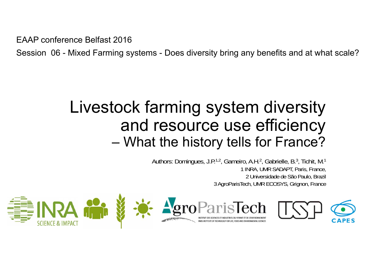EAAP conference Belfast 2016

Session 06 - Mixed Farming systems - Does diversity bring any benefits and at what scale?

#### Livestock farming system diversity and resource use efficiency –What the history tells for France?

Authors: Domingues, J.P.<sup>1,2</sup>, Gameiro, A.H.<sup>2</sup>, Gabrielle, B.<sup>3</sup>, Tichit, M.<sup>1</sup> 1 INRA, UMR SADAPT, Paris, France, 2 Universidade de São Paulo, Brazil 3 AgroParisTech, UMR ECOSYS, Grignon, France



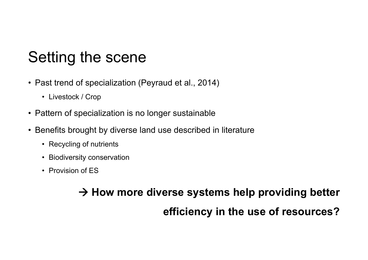## Setting the scene

- Past trend of specialization (Peyraud et al., 2014)
	- Livestock / Crop
- Pattern of specialization is no longer sustainable
- Benefits brought by diverse land use described in literature
	- Recycling of nutrients
	- Biodiversity conservation
	- Provision of ES

#### **How more diverse systems help providing better efficiency in the use of resources?**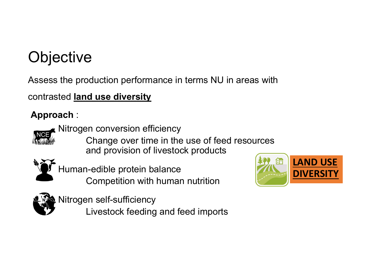# **Objective**

Assess the production performance in terms NU in areas with

contrasted **land use diversity**

#### **Approach** :



- Nitrogen conversion efficiency
	- Change over time in the use of feed resources and provision of livestock products



Human-edible protein balance Competition with human nutrition



- Nitrogen self-sufficiency
	- Livestock feeding and feed imports

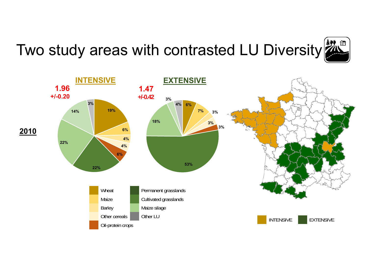

# Two study areas with contrasted LU Diversity

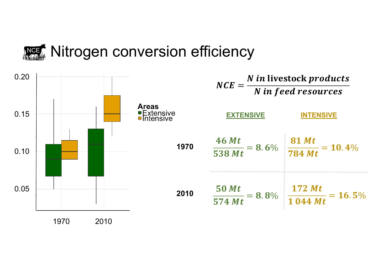

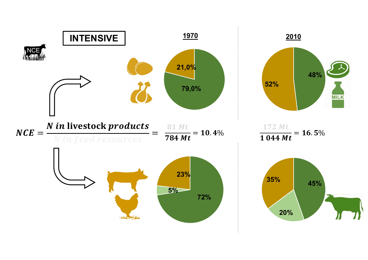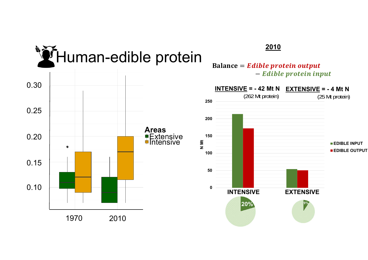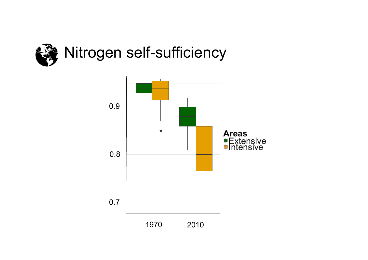

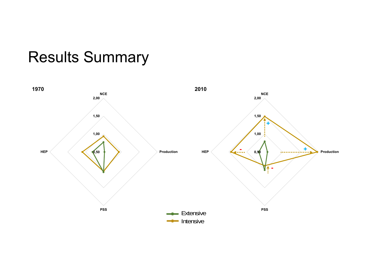## Results Summary

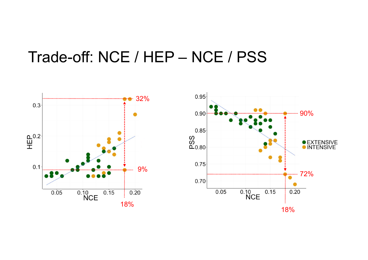## Trade-off: NCE / HEP – NCE / PSS



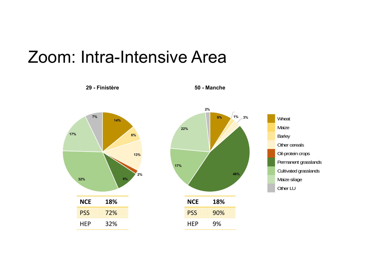## Zoom: Intra-Intensive Area



**29 - Finistère**

**50 - Manche**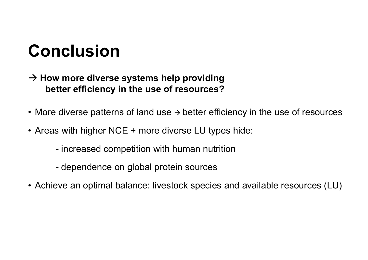# **Conclusion**

- $\rightarrow$  How more diverse systems help providing **better efficiency in the use of resources?**
- More diverse patterns of land use  $\rightarrow$  better efficiency in the use of resources
- Areas with higher NCE + more diverse LU types hide:
	- increased competition with human nutrition
	- dependence on global protein sources
- Achieve an optimal balance: livestock species and available resources (LU)